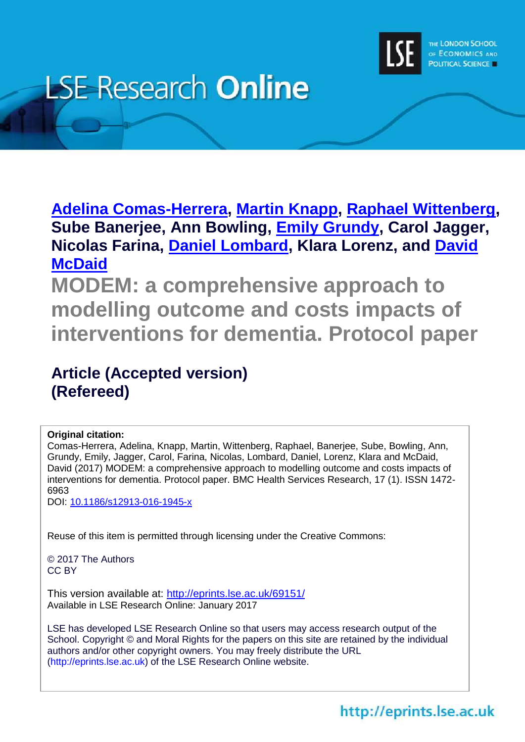

# **LSE Research Online**

**[Adelina Comas-Herrera,](http://www.lse.ac.uk/researchAndExpertise/Experts/profile.aspx?KeyValue=a.comas@lse.ac.uk) [Martin Knapp,](http://www.lse.ac.uk/researchAndExpertise/Experts/profile.aspx?KeyValue=m.knapp%40lse.ac.uk) [Raphael Wittenberg,](http://www.lse.ac.uk/researchAndExpertise/Experts/profile.aspx?KeyValue=r.wittenberg@lse.ac.uk) Sube Banerjee, Ann Bowling, [Emily Grundy,](http://www.lse.ac.uk/researchAndExpertise/Experts/profile.aspx?KeyValue=e.m.grundy@lse.ac.uk) Carol Jagger, Nicolas Farina, [Daniel Lombard,](http://www.lse.ac.uk/researchAndExpertise/Experts/profile.aspx?KeyValue=d.lombard@lse.ac.uk) Klara Lorenz, and [David](http://www.lse.ac.uk/researchAndExpertise/Experts/profile.aspx?KeyValue=d.mcdaid@lse.ac.uk)  [McDaid](http://www.lse.ac.uk/researchAndExpertise/Experts/profile.aspx?KeyValue=d.mcdaid@lse.ac.uk)**

**MODEM: a comprehensive approach to modelling outcome and costs impacts of interventions for dementia. Protocol paper**

# **Article (Accepted version) (Refereed)**

# **Original citation:**

Comas-Herrera, Adelina, Knapp, Martin, Wittenberg, Raphael, Banerjee, Sube, Bowling, Ann, Grundy, Emily, Jagger, Carol, Farina, Nicolas, Lombard, Daniel, Lorenz, Klara and McDaid, David (2017) MODEM: a comprehensive approach to modelling outcome and costs impacts of interventions for dementia. Protocol paper. BMC Health Services Research, 17 (1). ISSN 1472- 6963

DOI: [10.1186/s12913-016-1945-x](http://dx.doi.org/10.1186/s12913-016-1945-x)

Reuse of this item is permitted through licensing under the Creative Commons:

© 2017 The Authors CC BY

This version available at: <http://eprints.lse.ac.uk/69151/> Available in LSE Research Online: January 2017

LSE has developed LSE Research Online so that users may access research output of the School. Copyright © and Moral Rights for the papers on this site are retained by the individual authors and/or other copyright owners. You may freely distribute the URL (http://eprints.lse.ac.uk) of the LSE Research Online website.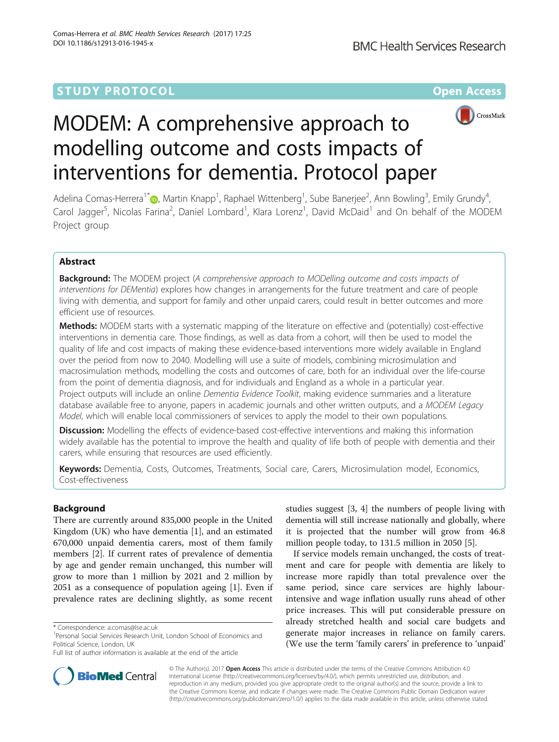# **STUDY PROTOCOL CONSUMING THE RESERVE ACCESS**



# MODEM: A comprehensive approach to modelling outcome and costs impacts of interventions for dementia. Protocol paper

Adelina Comas-Herrera<sup>1\*</sup>�[,](http://orcid.org/0000-0002-9860-9062) Martin Knapp<sup>1</sup>, Raphael Wittenberg<sup>1</sup>, Sube Banerjee<sup>2</sup>, Ann Bowling<sup>3</sup>, Emily Grundy<sup>4</sup> , Carol Jagger<sup>5</sup>, Nicolas Farina<sup>2</sup>, Daniel Lombard<sup>1</sup>, Klara Lorenz<sup>1</sup>, David McDaid<sup>1</sup> and On behalf of the MODEM Project group

# Abstract

**Background:** The MODEM project (A comprehensive approach to MODelling outcome and costs impacts of interventions for DEMentia) explores how changes in arrangements for the future treatment and care of people living with dementia, and support for family and other unpaid carers, could result in better outcomes and more efficient use of resources.

**Methods:** MODEM starts with a systematic mapping of the literature on effective and (potentially) cost-effective interventions in dementia care. Those findings, as well as data from a cohort, will then be used to model the quality of life and cost impacts of making these evidence-based interventions more widely available in England over the period from now to 2040. Modelling will use a suite of models, combining microsimulation and macrosimulation methods, modelling the costs and outcomes of care, both for an individual over the life-course from the point of dementia diagnosis, and for individuals and England as a whole in a particular year. Project outputs will include an online Dementia Evidence Toolkit, making evidence summaries and a literature database available free to anyone, papers in academic journals and other written outputs, and a MODEM Legacy Model, which will enable local commissioners of services to apply the model to their own populations.

**Discussion:** Modelling the effects of evidence-based cost-effective interventions and making this information widely available has the potential to improve the health and quality of life both of people with dementia and their carers, while ensuring that resources are used efficiently.

Keywords: Dementia, Costs, Outcomes, Treatments, Social care, Carers, Microsimulation model, Economics, Cost-effectiveness

# Background

There are currently around 835,000 people in the United Kingdom (UK) who have dementia [[1\]](#page-8-0), and an estimated 670,000 unpaid dementia carers, most of them family members [\[2](#page-8-0)]. If current rates of prevalence of dementia by age and gender remain unchanged, this number will grow to more than 1 million by 2021 and 2 million by 2051 as a consequence of population ageing [\[1\]](#page-8-0). Even if prevalence rates are declining slightly, as some recent

studies suggest [\[3](#page-8-0), [4](#page-8-0)] the numbers of people living with dementia will still increase nationally and globally, where it is projected that the number will grow from 46.8 million people today, to 131.5 million in 2050 [\[5](#page-8-0)].

If service models remain unchanged, the costs of treatment and care for people with dementia are likely to increase more rapidly than total prevalence over the same period, since care services are highly labourintensive and wage inflation usually runs ahead of other price increases. This will put considerable pressure on already stretched health and social care budgets and generate major increases in reliance on family carers. (We use the term 'family carers' in preference to 'unpaid'



© The Author(s). 2017 **Open Access** This article is distributed under the terms of the Creative Commons Attribution 4.0 International License [\(http://creativecommons.org/licenses/by/4.0/](http://creativecommons.org/licenses/by/4.0/)), which permits unrestricted use, distribution, and reproduction in any medium, provided you give appropriate credit to the original author(s) and the source, provide a link to the Creative Commons license, and indicate if changes were made. The Creative Commons Public Domain Dedication waiver [\(http://creativecommons.org/publicdomain/zero/1.0/](http://creativecommons.org/publicdomain/zero/1.0/)) applies to the data made available in this article, unless otherwise stated.

<sup>\*</sup> Correspondence: [a.comas@lse.ac.uk](mailto:a.comas@lse.ac.uk) <sup>1</sup>

<sup>&</sup>lt;sup>1</sup> Personal Social Services Research Unit, London School of Economics and Political Science, London, UK

Full list of author information is available at the end of the article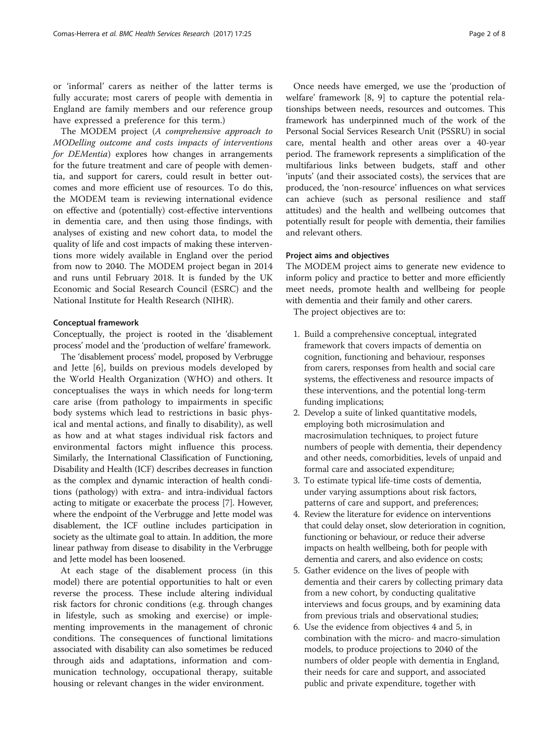or 'informal' carers as neither of the latter terms is fully accurate; most carers of people with dementia in England are family members and our reference group have expressed a preference for this term.)

The MODEM project (A comprehensive approach to MODelling outcome and costs impacts of interventions for DEMentia) explores how changes in arrangements for the future treatment and care of people with dementia, and support for carers, could result in better outcomes and more efficient use of resources. To do this, the MODEM team is reviewing international evidence on effective and (potentially) cost-effective interventions in dementia care, and then using those findings, with analyses of existing and new cohort data, to model the quality of life and cost impacts of making these interventions more widely available in England over the period from now to 2040. The MODEM project began in 2014 and runs until February 2018. It is funded by the UK Economic and Social Research Council (ESRC) and the National Institute for Health Research (NIHR).

#### Conceptual framework

Conceptually, the project is rooted in the 'disablement process' model and the 'production of welfare' framework.

The 'disablement process' model, proposed by Verbrugge and Jette [\[6](#page-8-0)], builds on previous models developed by the World Health Organization (WHO) and others. It conceptualises the ways in which needs for long‐term care arise (from pathology to impairments in specific body systems which lead to restrictions in basic physical and mental actions, and finally to disability), as well as how and at what stages individual risk factors and environmental factors might influence this process. Similarly, the International Classification of Functioning, Disability and Health (ICF) describes decreases in function as the complex and dynamic interaction of health conditions (pathology) with extra- and intra-individual factors acting to mitigate or exacerbate the process [\[7\]](#page-8-0). However, where the endpoint of the Verbrugge and Jette model was disablement, the ICF outline includes participation in society as the ultimate goal to attain. In addition, the more linear pathway from disease to disability in the Verbrugge and Jette model has been loosened.

At each stage of the disablement process (in this model) there are potential opportunities to halt or even reverse the process. These include altering individual risk factors for chronic conditions (e.g. through changes in lifestyle, such as smoking and exercise) or implementing improvements in the management of chronic conditions. The consequences of functional limitations associated with disability can also sometimes be reduced through aids and adaptations, information and communication technology, occupational therapy, suitable housing or relevant changes in the wider environment.

Once needs have emerged, we use the 'production of welfare' framework [\[8](#page-8-0), [9\]](#page-8-0) to capture the potential relationships between needs, resources and outcomes. This framework has underpinned much of the work of the Personal Social Services Research Unit (PSSRU) in social care, mental health and other areas over a 40-year period. The framework represents a simplification of the multifarious links between budgets, staff and other 'inputs' (and their associated costs), the services that are produced, the 'non-resource' influences on what services can achieve (such as personal resilience and staff attitudes) and the health and wellbeing outcomes that potentially result for people with dementia, their families and relevant others.

#### Project aims and objectives

The MODEM project aims to generate new evidence to inform policy and practice to better and more efficiently meet needs, promote health and wellbeing for people with dementia and their family and other carers.

The project objectives are to:

- 1. Build a comprehensive conceptual, integrated framework that covers impacts of dementia on cognition, functioning and behaviour, responses from carers, responses from health and social care systems, the effectiveness and resource impacts of these interventions, and the potential long-term funding implications;
- 2. Develop a suite of linked quantitative models, employing both microsimulation and macrosimulation techniques, to project future numbers of people with dementia, their dependency and other needs, comorbidities, levels of unpaid and formal care and associated expenditure;
- 3. To estimate typical life-time costs of dementia, under varying assumptions about risk factors, patterns of care and support, and preferences;
- 4. Review the literature for evidence on interventions that could delay onset, slow deterioration in cognition, functioning or behaviour, or reduce their adverse impacts on health wellbeing, both for people with dementia and carers, and also evidence on costs;
- 5. Gather evidence on the lives of people with dementia and their carers by collecting primary data from a new cohort, by conducting qualitative interviews and focus groups, and by examining data from previous trials and observational studies;
- 6. Use the evidence from objectives 4 and 5, in combination with the micro- and macro-simulation models, to produce projections to 2040 of the numbers of older people with dementia in England, their needs for care and support, and associated public and private expenditure, together with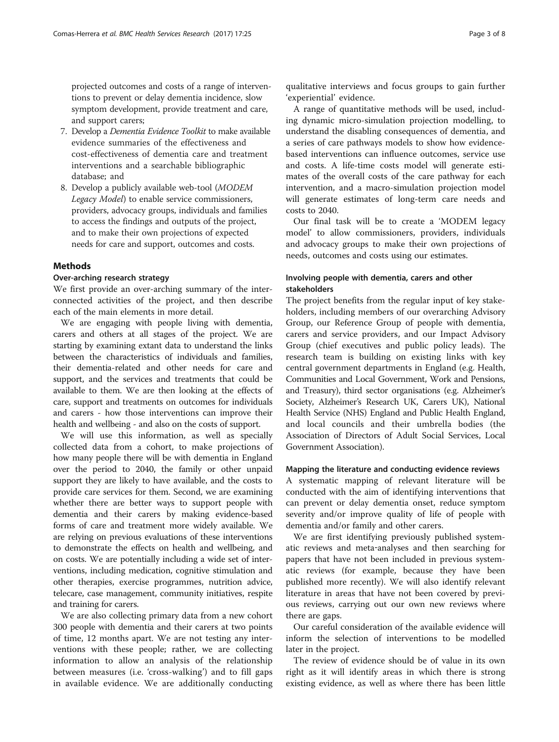projected outcomes and costs of a range of interventions to prevent or delay dementia incidence, slow symptom development, provide treatment and care, and support carers;

- 7. Develop a Dementia Evidence Toolkit to make available evidence summaries of the effectiveness and cost-effectiveness of dementia care and treatment interventions and a searchable bibliographic database; and
- 8. Develop a publicly available web-tool (MODEM Legacy Model) to enable service commissioners, providers, advocacy groups, individuals and families to access the findings and outputs of the project, and to make their own projections of expected needs for care and support, outcomes and costs.

### **Methods**

#### Over-arching research strategy

We first provide an over-arching summary of the interconnected activities of the project, and then describe each of the main elements in more detail.

We are engaging with people living with dementia, carers and others at all stages of the project. We are starting by examining extant data to understand the links between the characteristics of individuals and families, their dementia-related and other needs for care and support, and the services and treatments that could be available to them. We are then looking at the effects of care, support and treatments on outcomes for individuals and carers - how those interventions can improve their health and wellbeing - and also on the costs of support.

We will use this information, as well as specially collected data from a cohort, to make projections of how many people there will be with dementia in England over the period to 2040, the family or other unpaid support they are likely to have available, and the costs to provide care services for them. Second, we are examining whether there are better ways to support people with dementia and their carers by making evidence-based forms of care and treatment more widely available. We are relying on previous evaluations of these interventions to demonstrate the effects on health and wellbeing, and on costs. We are potentially including a wide set of interventions, including medication, cognitive stimulation and other therapies, exercise programmes, nutrition advice, telecare, case management, community initiatives, respite and training for carers.

We are also collecting primary data from a new cohort 300 people with dementia and their carers at two points of time, 12 months apart. We are not testing any interventions with these people; rather, we are collecting information to allow an analysis of the relationship between measures (i.e. 'cross-walking') and to fill gaps in available evidence. We are additionally conducting qualitative interviews and focus groups to gain further 'experiential' evidence.

A range of quantitative methods will be used, including dynamic micro-simulation projection modelling, to understand the disabling consequences of dementia, and a series of care pathways models to show how evidencebased interventions can influence outcomes, service use and costs. A life-time costs model will generate estimates of the overall costs of the care pathway for each intervention, and a macro-simulation projection model will generate estimates of long-term care needs and costs to 2040.

Our final task will be to create a 'MODEM legacy model' to allow commissioners, providers, individuals and advocacy groups to make their own projections of needs, outcomes and costs using our estimates.

#### Involving people with dementia, carers and other stakeholders

The project benefits from the regular input of key stakeholders, including members of our overarching Advisory Group, our Reference Group of people with dementia, carers and service providers, and our Impact Advisory Group (chief executives and public policy leads). The research team is building on existing links with key central government departments in England (e.g. Health, Communities and Local Government, Work and Pensions, and Treasury), third sector organisations (e.g. Alzheimer's Society, Alzheimer's Research UK, Carers UK), National Health Service (NHS) England and Public Health England, and local councils and their umbrella bodies (the Association of Directors of Adult Social Services, Local Government Association).

#### Mapping the literature and conducting evidence reviews

A systematic mapping of relevant literature will be conducted with the aim of identifying interventions that can prevent or delay dementia onset, reduce symptom severity and/or improve quality of life of people with dementia and/or family and other carers.

We are first identifying previously published systematic reviews and meta‐analyses and then searching for papers that have not been included in previous systematic reviews (for example, because they have been published more recently). We will also identify relevant literature in areas that have not been covered by previous reviews, carrying out our own new reviews where there are gaps.

Our careful consideration of the available evidence will inform the selection of interventions to be modelled later in the project.

The review of evidence should be of value in its own right as it will identify areas in which there is strong existing evidence, as well as where there has been little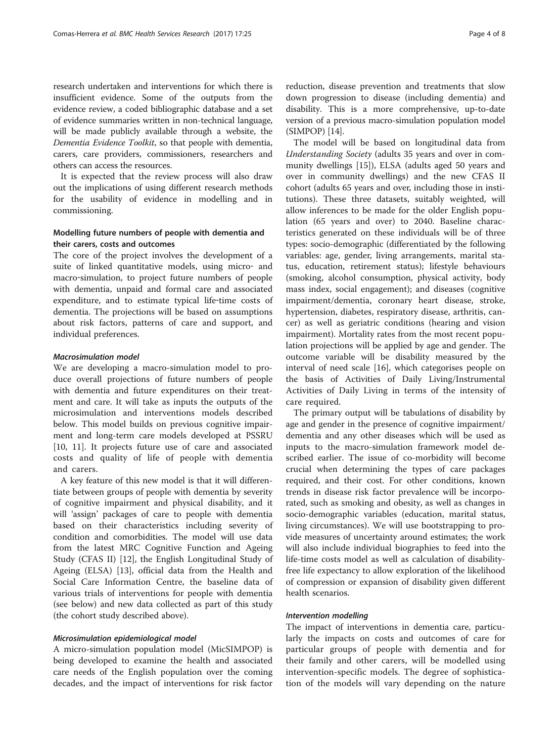research undertaken and interventions for which there is insufficient evidence. Some of the outputs from the evidence review, a coded bibliographic database and a set of evidence summaries written in non-technical language, will be made publicly available through a website, the Dementia Evidence Toolkit, so that people with dementia, carers, care providers, commissioners, researchers and others can access the resources.

It is expected that the review process will also draw out the implications of using different research methods for the usability of evidence in modelling and in commissioning.

#### Modelling future numbers of people with dementia and their carers, costs and outcomes

The core of the project involves the development of a suite of linked quantitative models, using micro- and macro-simulation, to project future numbers of people with dementia, unpaid and formal care and associated expenditure, and to estimate typical life-time costs of dementia. The projections will be based on assumptions about risk factors, patterns of care and support, and individual preferences.

#### Macrosimulation model

We are developing a macro-simulation model to produce overall projections of future numbers of people with dementia and future expenditures on their treatment and care. It will take as inputs the outputs of the microsimulation and interventions models described below. This model builds on previous cognitive impairment and long-term care models developed at PSSRU [[10, 11\]](#page-8-0). It projects future use of care and associated costs and quality of life of people with dementia and carers.

A key feature of this new model is that it will differentiate between groups of people with dementia by severity of cognitive impairment and physical disability, and it will 'assign' packages of care to people with dementia based on their characteristics including severity of condition and comorbidities. The model will use data from the latest MRC Cognitive Function and Ageing Study (CFAS II) [[12](#page-8-0)], the English Longitudinal Study of Ageing (ELSA) [[13](#page-8-0)], official data from the Health and Social Care Information Centre, the baseline data of various trials of interventions for people with dementia (see below) and new data collected as part of this study (the cohort study described above).

#### Microsimulation epidemiological model

A micro-simulation population model (MicSIMPOP) is being developed to examine the health and associated care needs of the English population over the coming decades, and the impact of interventions for risk factor reduction, disease prevention and treatments that slow down progression to disease (including dementia) and disability. This is a more comprehensive, up-to-date version of a previous macro-simulation population model (SIMPOP) [\[14\]](#page-8-0).

The model will be based on longitudinal data from Understanding Society (adults 35 years and over in community dwellings [[15](#page-8-0)]), ELSA (adults aged 50 years and over in community dwellings) and the new CFAS II cohort (adults 65 years and over, including those in institutions). These three datasets, suitably weighted, will allow inferences to be made for the older English population (65 years and over) to 2040. Baseline characteristics generated on these individuals will be of three types: socio-demographic (differentiated by the following variables: age, gender, living arrangements, marital status, education, retirement status); lifestyle behaviours (smoking, alcohol consumption, physical activity, body mass index, social engagement); and diseases (cognitive impairment/dementia, coronary heart disease, stroke, hypertension, diabetes, respiratory disease, arthritis, cancer) as well as geriatric conditions (hearing and vision impairment). Mortality rates from the most recent population projections will be applied by age and gender. The outcome variable will be disability measured by the interval of need scale [\[16](#page-8-0)], which categorises people on the basis of Activities of Daily Living/Instrumental Activities of Daily Living in terms of the intensity of care required.

The primary output will be tabulations of disability by age and gender in the presence of cognitive impairment/ dementia and any other diseases which will be used as inputs to the macro-simulation framework model described earlier. The issue of co-morbidity will become crucial when determining the types of care packages required, and their cost. For other conditions, known trends in disease risk factor prevalence will be incorporated, such as smoking and obesity, as well as changes in socio-demographic variables (education, marital status, living circumstances). We will use bootstrapping to provide measures of uncertainty around estimates; the work will also include individual biographies to feed into the life-time costs model as well as calculation of disabilityfree life expectancy to allow exploration of the likelihood of compression or expansion of disability given different health scenarios.

#### Intervention modelling

The impact of interventions in dementia care, particularly the impacts on costs and outcomes of care for particular groups of people with dementia and for their family and other carers, will be modelled using intervention-specific models. The degree of sophistication of the models will vary depending on the nature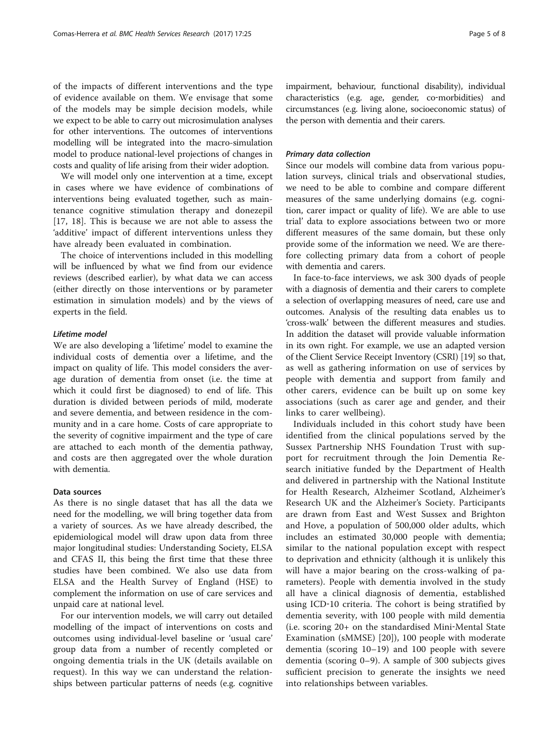of the impacts of different interventions and the type of evidence available on them. We envisage that some of the models may be simple decision models, while we expect to be able to carry out microsimulation analyses for other interventions. The outcomes of interventions modelling will be integrated into the macro-simulation model to produce national-level projections of changes in costs and quality of life arising from their wider adoption.

We will model only one intervention at a time, except in cases where we have evidence of combinations of interventions being evaluated together, such as maintenance cognitive stimulation therapy and donezepil [[17, 18](#page-8-0)]. This is because we are not able to assess the 'additive' impact of different interventions unless they have already been evaluated in combination.

The choice of interventions included in this modelling will be influenced by what we find from our evidence reviews (described earlier), by what data we can access (either directly on those interventions or by parameter estimation in simulation models) and by the views of experts in the field.

#### Lifetime model

We are also developing a 'lifetime' model to examine the individual costs of dementia over a lifetime, and the impact on quality of life. This model considers the average duration of dementia from onset (i.e. the time at which it could first be diagnosed) to end of life. This duration is divided between periods of mild, moderate and severe dementia, and between residence in the community and in a care home. Costs of care appropriate to the severity of cognitive impairment and the type of care are attached to each month of the dementia pathway, and costs are then aggregated over the whole duration with dementia.

#### Data sources

As there is no single dataset that has all the data we need for the modelling, we will bring together data from a variety of sources. As we have already described, the epidemiological model will draw upon data from three major longitudinal studies: Understanding Society, ELSA and CFAS II, this being the first time that these three studies have been combined. We also use data from ELSA and the Health Survey of England (HSE) to complement the information on use of care services and unpaid care at national level.

For our intervention models, we will carry out detailed modelling of the impact of interventions on costs and outcomes using individual-level baseline or 'usual care' group data from a number of recently completed or ongoing dementia trials in the UK (details available on request). In this way we can understand the relationships between particular patterns of needs (e.g. cognitive

impairment, behaviour, functional disability), individual characteristics (e.g. age, gender, co-morbidities) and circumstances (e.g. living alone, socioeconomic status) of the person with dementia and their carers.

#### Primary data collection

Since our models will combine data from various population surveys, clinical trials and observational studies, we need to be able to combine and compare different measures of the same underlying domains (e.g. cognition, carer impact or quality of life). We are able to use trial' data to explore associations between two or more different measures of the same domain, but these only provide some of the information we need. We are therefore collecting primary data from a cohort of people with dementia and carers.

In face-to-face interviews, we ask 300 dyads of people with a diagnosis of dementia and their carers to complete a selection of overlapping measures of need, care use and outcomes. Analysis of the resulting data enables us to 'cross-walk' between the different measures and studies. In addition the dataset will provide valuable information in its own right. For example, we use an adapted version of the Client Service Receipt Inventory (CSRI) [\[19\]](#page-8-0) so that, as well as gathering information on use of services by people with dementia and support from family and other carers, evidence can be built up on some key associations (such as carer age and gender, and their links to carer wellbeing).

Individuals included in this cohort study have been identified from the clinical populations served by the Sussex Partnership NHS Foundation Trust with support for recruitment through the Join Dementia Research initiative funded by the Department of Health and delivered in partnership with the National Institute for Health Research, Alzheimer Scotland, Alzheimer's Research UK and the Alzheimer's Society. Participants are drawn from East and West Sussex and Brighton and Hove, a population of 500,000 older adults, which includes an estimated 30,000 people with dementia; similar to the national population except with respect to deprivation and ethnicity (although it is unlikely this will have a major bearing on the cross-walking of parameters). People with dementia involved in the study all have a clinical diagnosis of dementia, established using ICD‐10 criteria. The cohort is being stratified by dementia severity, with 100 people with mild dementia (i.e. scoring 20+ on the standardised Mini‐Mental State Examination (sMMSE) [[20\]](#page-8-0)), 100 people with moderate dementia (scoring 10–19) and 100 people with severe dementia (scoring 0–9). A sample of 300 subjects gives sufficient precision to generate the insights we need into relationships between variables.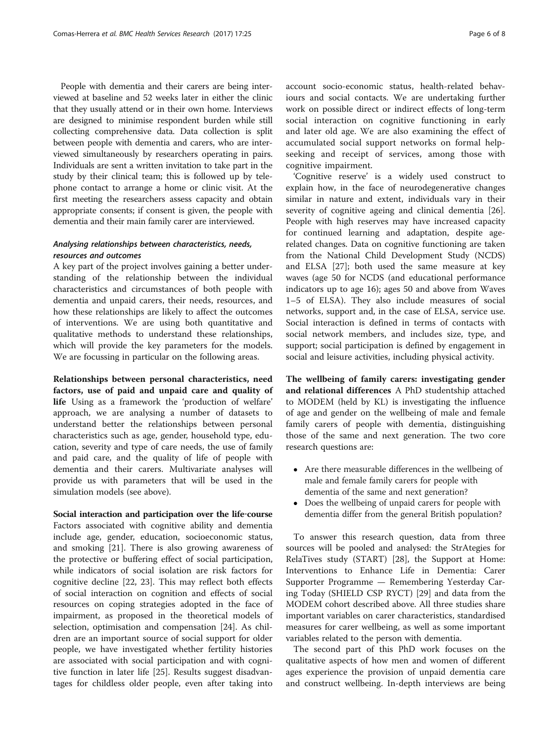People with dementia and their carers are being interviewed at baseline and 52 weeks later in either the clinic that they usually attend or in their own home. Interviews are designed to minimise respondent burden while still collecting comprehensive data. Data collection is split between people with dementia and carers, who are interviewed simultaneously by researchers operating in pairs. Individuals are sent a written invitation to take part in the study by their clinical team; this is followed up by telephone contact to arrange a home or clinic visit. At the first meeting the researchers assess capacity and obtain appropriate consents; if consent is given, the people with dementia and their main family carer are interviewed.

#### Analysing relationships between characteristics, needs, resources and outcomes

A key part of the project involves gaining a better understanding of the relationship between the individual characteristics and circumstances of both people with dementia and unpaid carers, their needs, resources, and how these relationships are likely to affect the outcomes of interventions. We are using both quantitative and qualitative methods to understand these relationships, which will provide the key parameters for the models. We are focussing in particular on the following areas.

Relationships between personal characteristics, need factors, use of paid and unpaid care and quality of life Using as a framework the 'production of welfare' approach, we are analysing a number of datasets to understand better the relationships between personal characteristics such as age, gender, household type, education, severity and type of care needs, the use of family and paid care, and the quality of life of people with dementia and their carers. Multivariate analyses will provide us with parameters that will be used in the simulation models (see above).

Social interaction and participation over the life‐course Factors associated with cognitive ability and dementia include age, gender, education, socioeconomic status, and smoking [[21\]](#page-8-0). There is also growing awareness of the protective or buffering effect of social participation, while indicators of social isolation are risk factors for cognitive decline [[22, 23\]](#page-8-0). This may reflect both effects of social interaction on cognition and effects of social resources on coping strategies adopted in the face of impairment, as proposed in the theoretical models of selection, optimisation and compensation [[24\]](#page-8-0). As children are an important source of social support for older people, we have investigated whether fertility histories are associated with social participation and with cognitive function in later life [\[25\]](#page-8-0). Results suggest disadvantages for childless older people, even after taking into

account socio-economic status, health-related behaviours and social contacts. We are undertaking further work on possible direct or indirect effects of long-term social interaction on cognitive functioning in early and later old age. We are also examining the effect of accumulated social support networks on formal helpseeking and receipt of services, among those with cognitive impairment.

'Cognitive reserve' is a widely used construct to explain how, in the face of neurodegenerative changes similar in nature and extent, individuals vary in their severity of cognitive ageing and clinical dementia [\[26](#page-8-0)]. People with high reserves may have increased capacity for continued learning and adaptation, despite agerelated changes. Data on cognitive functioning are taken from the National Child Development Study (NCDS) and ELSA [\[27](#page-8-0)]; both used the same measure at key waves (age 50 for NCDS (and educational performance indicators up to age 16); ages 50 and above from Waves 1–5 of ELSA). They also include measures of social networks, support and, in the case of ELSA, service use. Social interaction is defined in terms of contacts with social network members, and includes size, type, and support; social participation is defined by engagement in social and leisure activities, including physical activity.

The wellbeing of family carers: investigating gender and relational differences A PhD studentship attached to MODEM (held by KL) is investigating the influence of age and gender on the wellbeing of male and female family carers of people with dementia, distinguishing those of the same and next generation. The two core research questions are:

- Are there measurable differences in the wellbeing of male and female family carers for people with dementia of the same and next generation?
- Does the wellbeing of unpaid carers for people with dementia differ from the general British population?

To answer this research question, data from three sources will be pooled and analysed: the StrAtegies for RelaTives study (START) [\[28](#page-8-0)], the Support at Home: Interventions to Enhance Life in Dementia: Carer Supporter Programme — Remembering Yesterday Caring Today (SHIELD CSP RYCT) [[29\]](#page-8-0) and data from the MODEM cohort described above. All three studies share important variables on carer characteristics, standardised measures for carer wellbeing, as well as some important variables related to the person with dementia.

The second part of this PhD work focuses on the qualitative aspects of how men and women of different ages experience the provision of unpaid dementia care and construct wellbeing. In-depth interviews are being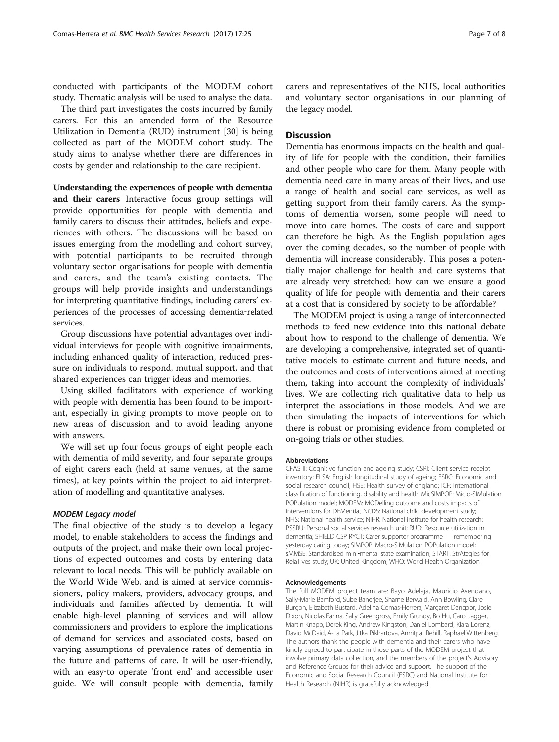conducted with participants of the MODEM cohort study. Thematic analysis will be used to analyse the data.

The third part investigates the costs incurred by family carers. For this an amended form of the Resource Utilization in Dementia (RUD) instrument [\[30](#page-8-0)] is being collected as part of the MODEM cohort study. The study aims to analyse whether there are differences in costs by gender and relationship to the care recipient.

Understanding the experiences of people with dementia and their carers Interactive focus group settings will provide opportunities for people with dementia and family carers to discuss their attitudes, beliefs and experiences with others. The discussions will be based on issues emerging from the modelling and cohort survey, with potential participants to be recruited through voluntary sector organisations for people with dementia and carers, and the team's existing contacts. The groups will help provide insights and understandings for interpreting quantitative findings, including carers' experiences of the processes of accessing dementia‐related services.

Group discussions have potential advantages over individual interviews for people with cognitive impairments, including enhanced quality of interaction, reduced pressure on individuals to respond, mutual support, and that shared experiences can trigger ideas and memories.

Using skilled facilitators with experience of working with people with dementia has been found to be important, especially in giving prompts to move people on to new areas of discussion and to avoid leading anyone with answers.

We will set up four focus groups of eight people each with dementia of mild severity, and four separate groups of eight carers each (held at same venues, at the same times), at key points within the project to aid interpretation of modelling and quantitative analyses.

#### MODEM Legacy model

The final objective of the study is to develop a legacy model, to enable stakeholders to access the findings and outputs of the project, and make their own local projections of expected outcomes and costs by entering data relevant to local needs. This will be publicly available on the World Wide Web, and is aimed at service commissioners, policy makers, providers, advocacy groups, and individuals and families affected by dementia. It will enable high-level planning of services and will allow commissioners and providers to explore the implications of demand for services and associated costs, based on varying assumptions of prevalence rates of dementia in the future and patterns of care. It will be user‐friendly, with an easy-to operate 'front end' and accessible user guide. We will consult people with dementia, family carers and representatives of the NHS, local authorities and voluntary sector organisations in our planning of the legacy model.

#### **Discussion**

Dementia has enormous impacts on the health and quality of life for people with the condition, their families and other people who care for them. Many people with dementia need care in many areas of their lives, and use a range of health and social care services, as well as getting support from their family carers. As the symptoms of dementia worsen, some people will need to move into care homes. The costs of care and support can therefore be high. As the English population ages over the coming decades, so the number of people with dementia will increase considerably. This poses a potentially major challenge for health and care systems that are already very stretched: how can we ensure a good quality of life for people with dementia and their carers at a cost that is considered by society to be affordable?

The MODEM project is using a range of interconnected methods to feed new evidence into this national debate about how to respond to the challenge of dementia. We are developing a comprehensive, integrated set of quantitative models to estimate current and future needs, and the outcomes and costs of interventions aimed at meeting them, taking into account the complexity of individuals' lives. We are collecting rich qualitative data to help us interpret the associations in those models. And we are then simulating the impacts of interventions for which there is robust or promising evidence from completed or on-going trials or other studies.

#### Abbreviations

CFAS II: Cognitive function and ageing study; CSRI: Client service receipt inventory; ELSA: English longitudinal study of ageing; ESRC: Economic and social research council; HSE: Health survey of england; ICF: International classification of functioning, disability and health; MicSIMPOP: Micro-SIMulation POPulation model; MODEM: MODelling outcome and costs impacts of interventions for DEMentia.; NCDS: National child development study; NHS: National health service; NIHR: National institute for health research; PSSRU: Personal social services research unit; RUD: Resource utilization in dementia; SHIELD CSP RYCT: Carer supporter programme — remembering yesterday caring today; SIMPOP: Macro-SIMulation POPulation model; sMMSE: Standardised mini‐mental state examination; START: StrAtegies for RelaTives study; UK: United Kingdom; WHO: World Health Organization

#### Acknowledgements

The full MODEM project team are: Bayo Adelaja, Mauricio Avendano, Sally-Marie Bamford, Sube Banerjee, Sharne Berwald, Ann Bowling, Clare Burgon, Elizabeth Bustard, Adelina Comas-Herrera, Margaret Dangoor, Josie Dixon, Nicolas Farina, Sally Greengross, Emily Grundy, Bo Hu, Carol Jagger, Martin Knapp, Derek King, Andrew Kingston, Daniel Lombard, Klara Lorenz, David McDaid, A-La Park, Jitka Pikhartova, Amritpal Rehill, Raphael Wittenberg. The authors thank the people with dementia and their carers who have kindly agreed to participate in those parts of the MODEM project that involve primary data collection, and the members of the project's Advisory and Reference Groups for their advice and support. The support of the Economic and Social Research Council (ESRC) and National Institute for Health Research (NIHR) is gratefully acknowledged.